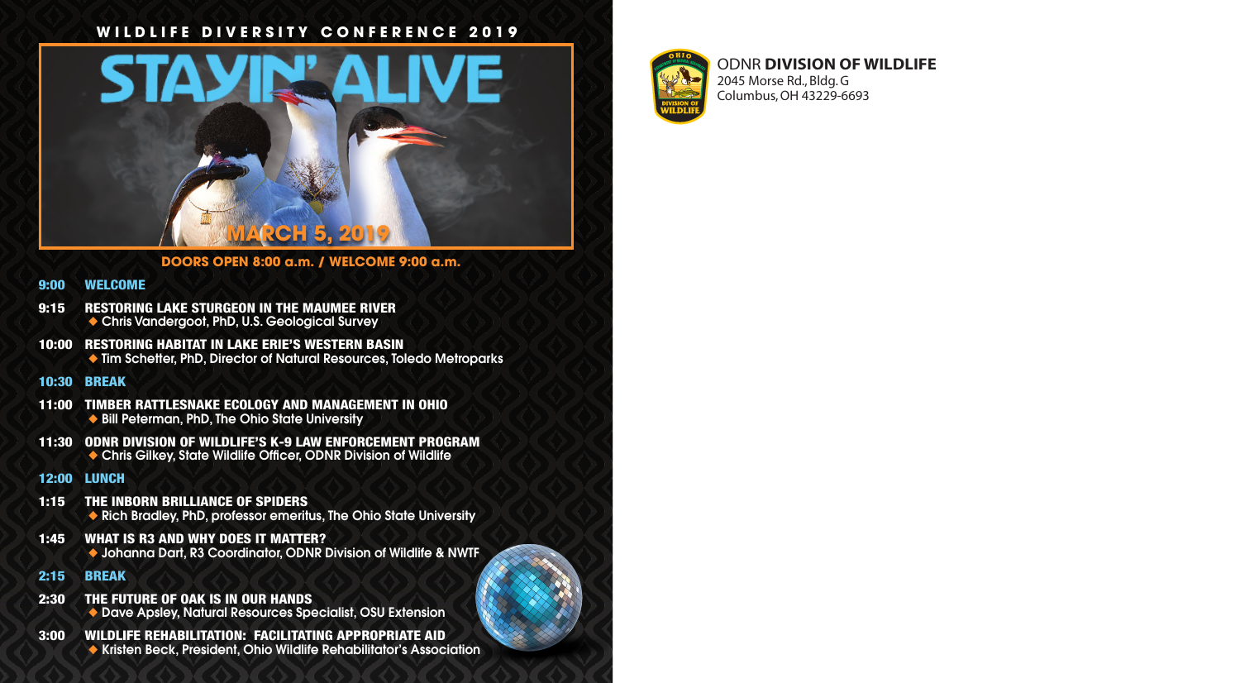### **WILDLIFE DIVERSITY CONFERENCE 2019**



**DOORS OPEN 8:00 a.m. / WELCOME 9:00 a.m.** 

#### 9:00 WELCOME

- 9:15 RESTORING LAKE STURGEON IN THE MAUMEE RIVER ◆ Chris Vandergoot, PhD, U.S. Geological Survey
- 10:00 RESTORING HABITAT IN LAKE ERIE'S WESTERN BASIN ◆ Tim Schetter, PhD, Director of Natural Resources, Toledo Metroparks

#### 10:30 BREAK

- 11:00 TIMBER RATTLESNAKE ECOLOGY AND MANAGEMENT IN OHIO ◆ Bill Peterman, PhD, The Ohio State University
- 11:30 ODNR DIVISION OF WILDLIFE'S K-9 LAW ENFORCEMENT PROGRAM ◆ Chris Gilkey, State Wildlife Officer, ODNR Division of Wildlife

#### 12:00 LUNCH

- 1:15 THE INBORN BRILLIANCE OF SPIDERS ◆ Rich Bradley, PhD, professor emeritus, The Ohio State University
- 1:45 WHAT IS R3 AND WHY DOES IT MATTER? ◆ Johanna Dart, R3 Coordinator, ODNR Division of Wildlife & NWTF
- 2:15 BREAK
- 2:30 THE FUTURE OF OAK IS IN OUR HANDS ◆ Dave Apsley, Natural Resources Specialist, OSU Extension
- 3:00 WILDLIFE REHABILITATION: FACILITATING APPROPRIATE AID ◆ Kristen Beck, President, Ohio Wildlife Rehabilitator's Association



### ODNR **DIVISION OF WILDLIFE** 2045 Morse Rd., Bldg. G

Columbus, OH 43229-6693